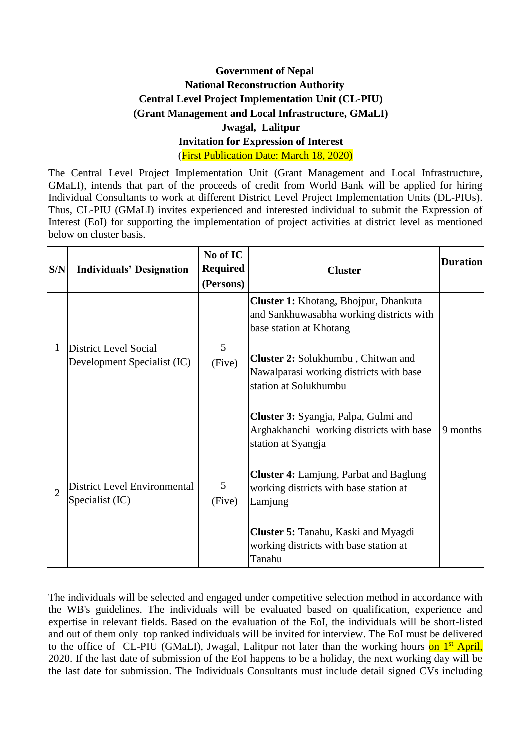## **Government of Nepal National Reconstruction Authority Central Level Project Implementation Unit (CL-PIU) (Grant Management and Local Infrastructure, GMaLI) Jwagal, Lalitpur Invitation for Expression of Interest** (First Publication Date: March 18, 2020)

The Central Level Project Implementation Unit (Grant Management and Local Infrastructure, GMaLI), intends that part of the proceeds of credit from World Bank will be applied for hiring Individual Consultants to work at different District Level Project Implementation Units (DL-PIUs). Thus, CL-PIU (GMaLI) invites experienced and interested individual to submit the Expression of Interest (EoI) for supporting the implementation of project activities at district level as mentioned below on cluster basis.

| S/N            | <b>Individuals' Designation</b>                 | No of IC<br><b>Required</b><br>(Persons) | <b>Cluster</b>                                                                                                      | <b>Duration</b> |
|----------------|-------------------------------------------------|------------------------------------------|---------------------------------------------------------------------------------------------------------------------|-----------------|
|                | District Level Social                           | 5                                        | <b>Cluster 1:</b> Khotang, Bhojpur, Dhankuta<br>and Sankhuwasabha working districts with<br>base station at Khotang |                 |
|                | Development Specialist (IC)                     | (Five)                                   | Cluster 2: Solukhumbu, Chitwan and<br>Nawalparasi working districts with base<br>station at Solukhumbu              |                 |
|                |                                                 |                                          | Cluster 3: Syangja, Palpa, Gulmi and                                                                                |                 |
|                |                                                 |                                          | Arghakhanchi working districts with base<br>station at Syangja                                                      | 9 months        |
| $\overline{2}$ | District Level Environmental<br>Specialist (IC) | 5<br>(Five)                              | <b>Cluster 4:</b> Lamjung, Parbat and Baglung<br>working districts with base station at<br>Lamjung                  |                 |
|                |                                                 |                                          | <b>Cluster 5: Tanahu, Kaski and Myagdi</b><br>working districts with base station at<br>Tanahu                      |                 |

The individuals will be selected and engaged under competitive selection method in accordance with the WB's guidelines. The individuals will be evaluated based on qualification, experience and expertise in relevant fields. Based on the evaluation of the EoI, the individuals will be short-listed and out of them only top ranked individuals will be invited for interview. The EoI must be delivered to the office of CL-PIU (GMaLI), Jwagal, Lalitpur not later than the working hours on 1<sup>st</sup> April, 2020. If the last date of submission of the EoI happens to be a holiday, the next working day will be the last date for submission. The Individuals Consultants must include detail signed CVs including